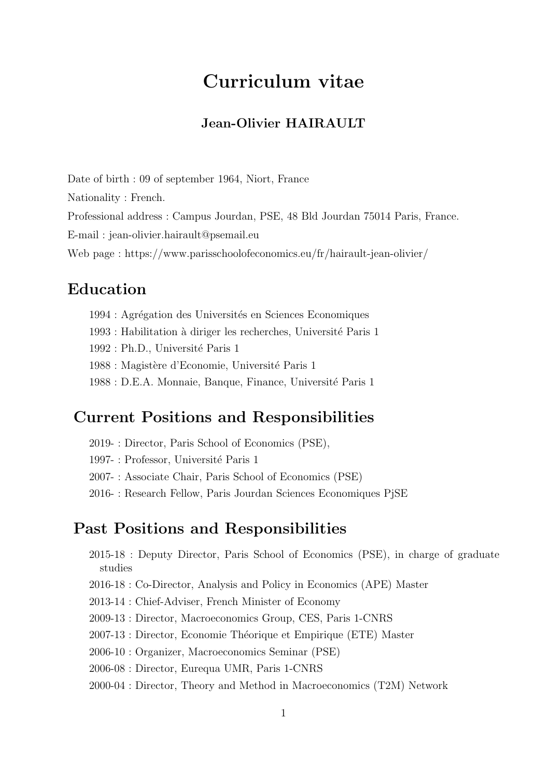# Curriculum vitae

### Jean-Olivier HAIRAULT

Date of birth : 09 of september 1964, Niort, France Nationality : French. Professional address : Campus Jourdan, PSE, 48 Bld Jourdan 75014 Paris, France. E-mail : jean-olivier.hairault@psemail.eu Web page : <https://www.parisschoolofeconomics.eu/fr/hairault-jean-olivier/>

# Education

1994 : Agrégation des Universités en Sciences Economiques

 $1993$  : Habilitation à diriger les recherches, Université Paris  $1$ 

1992 : Ph.D., Université Paris 1

1988 : Magistère d'Economie, Université Paris 1

1988 : D.E.A. Monnaie, Banque, Finance, Université Paris 1

### Current Positions and Responsibilities

2019- : Director, Paris School of Economics (PSE),

1997- : Professor, Université Paris 1

2007- : Associate Chair, Paris School of Economics (PSE)

2016- : Research Fellow, Paris Jourdan Sciences Economiques PjSE

### Past Positions and Responsibilities

2015-18 : Deputy Director, Paris School of Economics (PSE), in charge of graduate studies

- 2016-18 : Co-Director, Analysis and Policy in Economics (APE) Master
- 2013-14 : Chief-Adviser, French Minister of Economy
- 2009-13 : Director, Macroeconomics Group, CES, Paris 1-CNRS

2007-13 : Director, Economie Théorique et Empirique (ETE) Master

2006-10 : Organizer, Macroeconomics Seminar (PSE)

2006-08 : Director, Eurequa UMR, Paris 1-CNRS

2000-04 : Director, Theory and Method in Macroeconomics (T2M) Network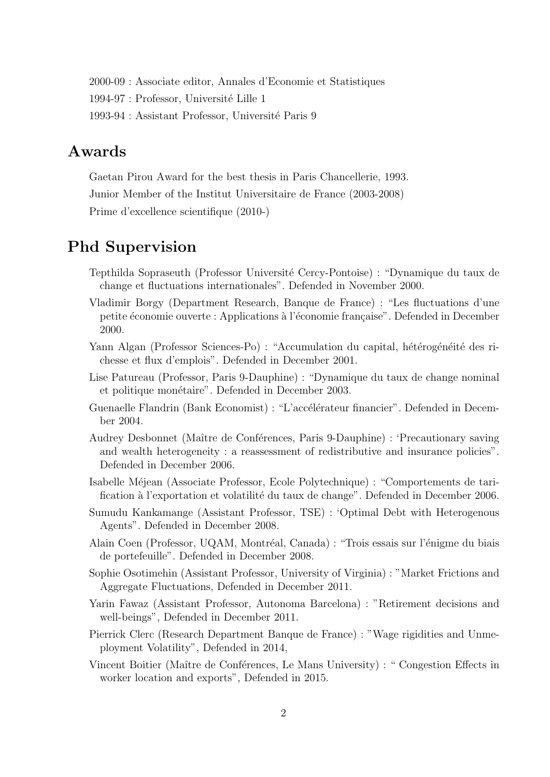2000-09 : Associate editor, Annales d'Economie et Statistiques 1994-97 : Professor, Université Lille 1 1993-94 : Assistant Professor, Université Paris 9

# Awards

Gaetan Pirou Award for the best thesis in Paris Chancellerie, 1993. Junior Member of the Institut Universitaire de France (2003-2008) Prime d'excellence scientifique (2010-)

# Phd Supervision

- Tepthilda Sopraseuth (Professor Universit´e Cercy-Pontoise) : "Dynamique du taux de change et fluctuations internationales". Defended in November 2000.
- Vladimir Borgy (Department Research, Banque de France) : "Les fluctuations d'une petite économie ouverte : Applications à l'économie française". Defended in December 2000.
- Yann Algan (Professor Sciences-Po) : "Accumulation du capital, hétérogénéité des richesse et flux d'emplois". Defended in December 2001.
- Lise Patureau (Professor, Paris 9-Dauphine) : "Dynamique du taux de change nominal et politique monétaire". Defended in December 2003.
- Guenaelle Flandrin (Bank Economist) : "L'accélérateur financier". Defended in December 2004.
- Audrey Desbonnet (Maître de Conférences, Paris 9-Dauphine) : 'Precautionary saving and wealth heterogeneity : a reassessment of redistributive and insurance policies". Defended in December 2006.
- Isabelle M´ejean (Associate Professor, Ecole Polytechnique) : "Comportements de tarification à l'exportation et volatilité du taux de change". Defended in December 2006.
- Sumudu Kankamange (Assistant Professor, TSE) : 'Optimal Debt with Heterogenous Agents". Defended in December 2008.
- Alain Coen (Professor, UQAM, Montréal, Canada) : "Trois essais sur l'énigme du biais de portefeuille". Defended in December 2008.
- Sophie Osotimehin (Assistant Professor, University of Virginia) : "Market Frictions and Aggregate Fluctuations, Defended in December 2011.
- Yarin Fawaz (Assistant Professor, Autonoma Barcelona) : "Retirement decisions and well-beings", Defended in December 2011.
- Pierrick Clerc (Research Department Banque de France) : "Wage rigidities and Unmeployment Volatility", Defended in 2014,
- Vincent Boitier (Maître de Conférences, Le Mans University) : " Congestion Effects in worker location and exports", Defended in 2015.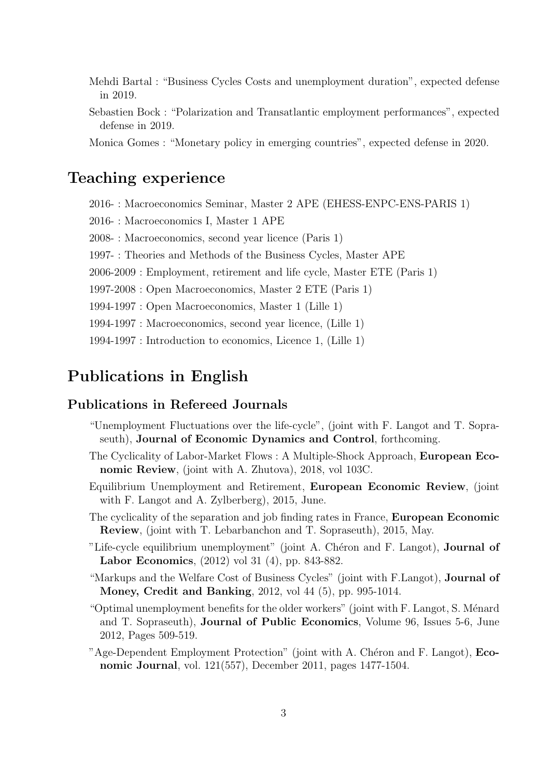- Mehdi Bartal : "Business Cycles Costs and unemployment duration", expected defense in 2019.
- Sebastien Bock : "Polarization and Transatlantic employment performances", expected defense in 2019.
- Monica Gomes : "Monetary policy in emerging countries", expected defense in 2020.

### Teaching experience

2016- : Macroeconomics Seminar, Master 2 APE (EHESS-ENPC-ENS-PARIS 1)

2016- : Macroeconomics I, Master 1 APE

2008- : Macroeconomics, second year licence (Paris 1)

1997- : Theories and Methods of the Business Cycles, Master APE

2006-2009 : Employment, retirement and life cycle, Master ETE (Paris 1)

1997-2008 : Open Macroeconomics, Master 2 ETE (Paris 1)

1994-1997 : Open Macroeconomics, Master 1 (Lille 1)

1994-1997 : Macroeconomics, second year licence, (Lille 1)

1994-1997 : Introduction to economics, Licence 1, (Lille 1)

# Publications in English

#### Publications in Refereed Journals

- "Unemployment Fluctuations over the life-cycle", (joint with F. Langot and T. Sopraseuth), Journal of Economic Dynamics and Control, forthcoming.
- The Cyclicality of Labor-Market Flows : A Multiple-Shock Approach, European Economic Review, (joint with A. Zhutova), 2018, vol 103C.
- Equilibrium Unemployment and Retirement, European Economic Review, (joint with F. Langot and A. Zylberberg), 2015, June.
- The cyclicality of the separation and job finding rates in France, European Economic Review, (joint with T. Lebarbanchon and T. Sopraseuth), 2015, May.
- "Life-cycle equilibrium unemployment" (joint A. Chéron and F. Langot), **Journal of** Labor Economics, (2012) vol 31 (4), pp. 843-882.
- "Markups and the Welfare Cost of Business Cycles" (joint with F.Langot), Journal of Money, Credit and Banking, 2012, vol 44 (5), pp. 995-1014.
- "Optimal unemployment benefits for the older workers" (joint with F. Langot, S. Ménard and T. Sopraseuth), Journal of Public Economics, Volume 96, Issues 5-6, June 2012, Pages 509-519.
- "Age-Dependent Employment Protection" (joint with A. Chéron and F. Langot), Economic Journal, vol. 121(557), December 2011, pages 1477-1504.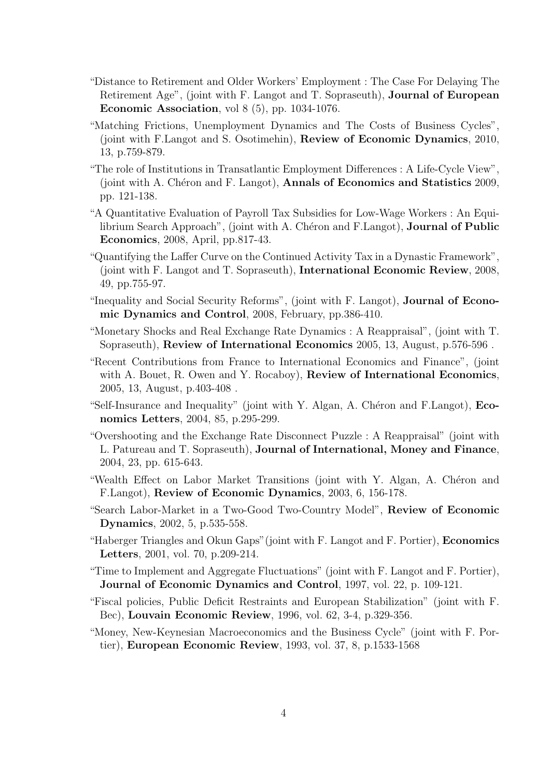- "Distance to Retirement and Older Workers' Employment : The Case For Delaying The Retirement Age", (joint with F. Langot and T. Sopraseuth), Journal of European Economic Association, vol 8 (5), pp. 1034-1076.
- "Matching Frictions, Unemployment Dynamics and The Costs of Business Cycles", (joint with F.Langot and S. Osotimehin), Review of Economic Dynamics, 2010, 13, p.759-879.
- "The role of Institutions in Transatlantic Employment Differences : A Life-Cycle View", (joint with A. Chéron and F. Langot), **Annals of Economics and Statistics** 2009, pp. 121-138.
- "A Quantitative Evaluation of Payroll Tax Subsidies for Low-Wage Workers : An Equilibrium Search Approach", (joint with A. Chéron and F.Langot), **Journal of Public** Economics, 2008, April, pp.817-43.
- "Quantifying the Laffer Curve on the Continued Activity Tax in a Dynastic Framework", (joint with F. Langot and T. Sopraseuth), International Economic Review, 2008, 49, pp.755-97.
- "Inequality and Social Security Reforms", (joint with F. Langot), Journal of Economic Dynamics and Control, 2008, February, pp.386-410.
- "Monetary Shocks and Real Exchange Rate Dynamics : A Reappraisal", (joint with T. Sopraseuth), Review of International Economics 2005, 13, August, p.576-596 .
- "Recent Contributions from France to International Economics and Finance", (joint with A. Bouet, R. Owen and Y. Rocaboy), **Review of International Economics**, 2005, 13, August, p.403-408 .
- "Self-Insurance and Inequality" (joint with Y. Algan, A. Chéron and F.Langot), Economics Letters, 2004, 85, p.295-299.
- "Overshooting and the Exchange Rate Disconnect Puzzle : A Reappraisal" (joint with L. Patureau and T. Sopraseuth), Journal of International, Money and Finance, 2004, 23, pp. 615-643.
- "Wealth Effect on Labor Market Transitions (joint with Y. Algan, A. Chéron and F.Langot), Review of Economic Dynamics, 2003, 6, 156-178.
- "Search Labor-Market in a Two-Good Two-Country Model", Review of Economic Dynamics, 2002, 5, p.535-558.
- "Haberger Triangles and Okun Gaps"(joint with F. Langot and F. Portier), Economics Letters, 2001, vol. 70, p.209-214.
- "Time to Implement and Aggregate Fluctuations" (joint with F. Langot and F. Portier), Journal of Economic Dynamics and Control, 1997, vol. 22, p. 109-121.
- "Fiscal policies, Public Deficit Restraints and European Stabilization" (joint with F. Bec), Louvain Economic Review, 1996, vol. 62, 3-4, p.329-356.
- "Money, New-Keynesian Macroeconomics and the Business Cycle" (joint with F. Portier), European Economic Review, 1993, vol. 37, 8, p.1533-1568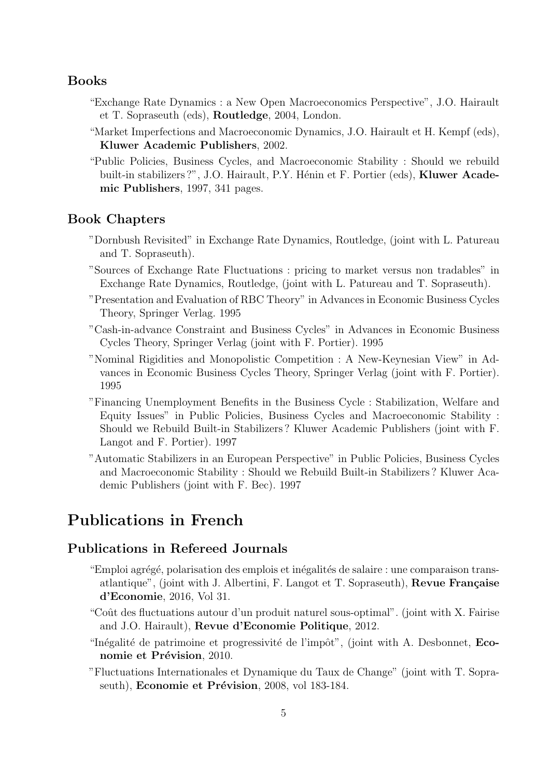#### Books

- "Exchange Rate Dynamics : a New Open Macroeconomics Perspective", J.O. Hairault et T. Sopraseuth (eds), Routledge, 2004, London.
- "Market Imperfections and Macroeconomic Dynamics, J.O. Hairault et H. Kempf (eds), Kluwer Academic Publishers, 2002.
- "Public Policies, Business Cycles, and Macroeconomic Stability : Should we rebuild built-in stabilizers ?", J.O. Hairault, P.Y. Hénin et F. Portier (eds), Kluwer Academic Publishers, 1997, 341 pages.

#### Book Chapters

- "Dornbush Revisited" in Exchange Rate Dynamics, Routledge, (joint with L. Patureau and T. Sopraseuth).
- "Sources of Exchange Rate Fluctuations : pricing to market versus non tradables" in Exchange Rate Dynamics, Routledge, (joint with L. Patureau and T. Sopraseuth).
- "Presentation and Evaluation of RBC Theory" in Advances in Economic Business Cycles Theory, Springer Verlag. 1995
- "Cash-in-advance Constraint and Business Cycles" in Advances in Economic Business Cycles Theory, Springer Verlag (joint with F. Portier). 1995
- "Nominal Rigidities and Monopolistic Competition : A New-Keynesian View" in Advances in Economic Business Cycles Theory, Springer Verlag (joint with F. Portier). 1995
- "Financing Unemployment Benefits in the Business Cycle : Stabilization, Welfare and Equity Issues" in Public Policies, Business Cycles and Macroeconomic Stability : Should we Rebuild Built-in Stabilizers ? Kluwer Academic Publishers (joint with F. Langot and F. Portier). 1997
- "Automatic Stabilizers in an European Perspective" in Public Policies, Business Cycles and Macroeconomic Stability : Should we Rebuild Built-in Stabilizers ? Kluwer Academic Publishers (joint with F. Bec). 1997

### Publications in French

#### Publications in Refereed Journals

- "Emploi agrégé, polarisation des emplois et inégalités de salaire : une comparaison transatlantique", (joint with J. Albertini, F. Langot et T. Sopraseuth),  $\bf{Re}$ vue Française d'Economie, 2016, Vol 31.
- "Coût des fluctuations autour d'un produit naturel sous-optimal". (joint with X. Fairise and J.O. Hairault), Revue d'Economie Politique, 2012.
- "Inégalité de patrimoine et progressivité de l'impôt", (joint with A. Desbonnet,  $Eco$ nomie et Prévision, 2010.
- "Fluctuations Internationales et Dynamique du Taux de Change" (joint with T. Sopraseuth), Economie et Prévision, 2008, vol 183-184.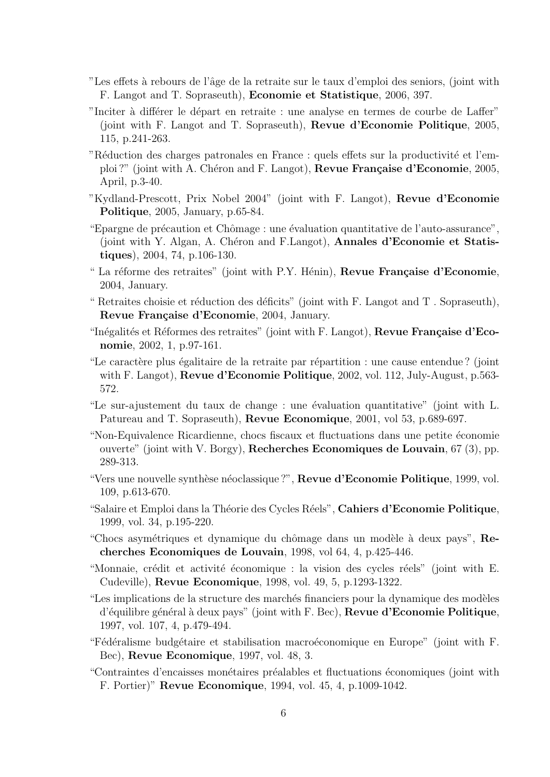- Les effets à rebours de l'âge de la retraite sur le taux d'emploi des seniors, (joint with F. Langot and T. Sopraseuth), Economie et Statistique, 2006, 397.
- "Inciter à différer le départ en retraite : une analyse en termes de courbe de Laffer" (joint with F. Langot and T. Sopraseuth), Revue d'Economie Politique, 2005, 115, p.241-263.
- "Réduction des charges patronales en France : quels effets sur la productivité et l'emploi ?" (joint with A. Chéron and F. Langot), Revue Française d'Economie, 2005, April, p.3-40.
- "Kydland-Prescott, Prix Nobel 2004" (joint with F. Langot), Revue d'Economie Politique, 2005, January, p.65-84.
- "Epargne de précaution et Chômage : une évaluation quantitative de l'auto-assurance", (joint with Y. Algan, A. Chéron and F.Langot), **Annales d'Economie et Statis**tiques), 2004, 74, p.106-130.
- " La réforme des retraites" (joint with P.Y. Hénin), Revue Française d'Economie, 2004, January.
- " Retraites choisie et réduction des déficits" (joint with F. Langot and  $T$ . Sopraseuth), Revue Française d'Economie, 2004, January.
- "Inégalités et Réformes des retraites" (joint with F. Langot), Revue Française d'Economie, 2002, 1, p.97-161.
- "Le caractère plus égalitaire de la retraite par répartition : une cause entendue ? (joint with F. Langot), Revue d'Economie Politique, 2002, vol. 112, July-August, p.563- 572.
- "Le sur-ajustement du taux de change : une évaluation quantitative" (joint with L. Patureau and T. Sopraseuth), Revue Economique, 2001, vol 53, p.689-697.
- "Non-Equivalence Ricardienne, chocs fiscaux et fluctuations dans une petite ´economie ouverte" (joint with V. Borgy), Recherches Economiques de Louvain, 67 (3), pp. 289-313.
- "Vers une nouvelle synthèse néoclassique ?", Revue d'Economie Politique, 1999, vol. 109, p.613-670.
- "Salaire et Emploi dans la Théorie des Cycles Réels", Cahiers d'Economie Politique, 1999, vol. 34, p.195-220.
- "Chocs asymétriques et dynamique du chômage dans un modèle à deux pays", Recherches Economiques de Louvain, 1998, vol 64, 4, p.425-446.
- "Monnaie, crédit et activité économique : la vision des cycles réels" (joint with E. Cudeville), Revue Economique, 1998, vol. 49, 5, p.1293-1322.
- "Les implications de la structure des marchés financiers pour la dynamique des modèles d'équilibre général à deux pays" (joint with F. Bec), Revue d'Economie Politique, 1997, vol. 107, 4, p.479-494.
- "Fédéralisme budgétaire et stabilisation macroéconomique en Europe" (joint with F. Bec), Revue Economique, 1997, vol. 48, 3.
- "Contraintes d'encaisses monétaires préalables et fluctuations économiques (joint with F. Portier)" Revue Economique, 1994, vol. 45, 4, p.1009-1042.